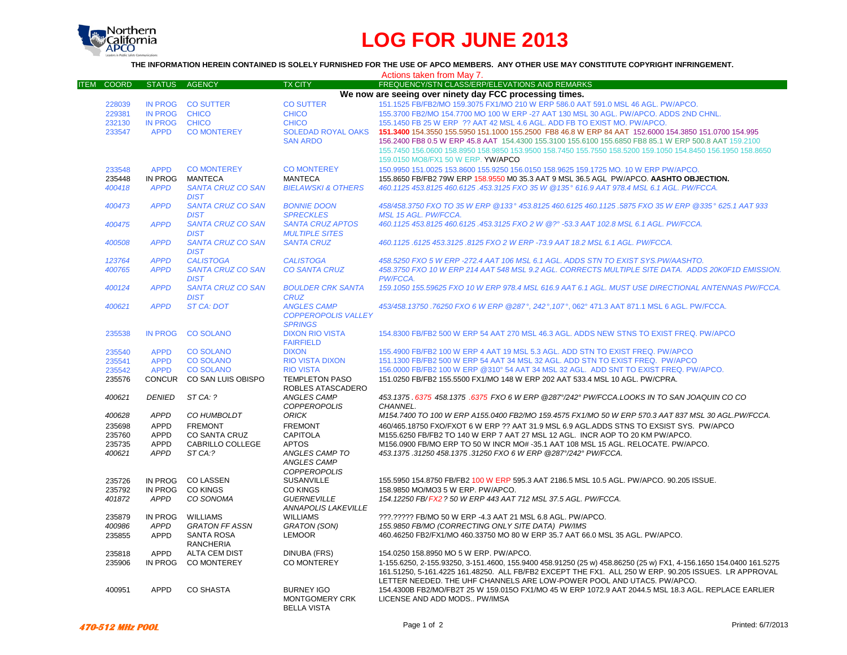

## **LOG FOR JUNE 2013**

**THE INFORMATION HEREIN CONTAINED IS SOLELY FURNISHED FOR THE USE OF APCO MEMBERS. ANY OTHER USE MAY CONSTITUTE COPYRIGHT INFRINGEMENT.**

| FREQUENCY/STN CLASS/ERP/ELEVATIONS AND REMARKS<br><b>COORD</b><br><b>STATUS</b><br><b>AGENCY</b><br><b>ITEM</b><br><b>TX CITY</b><br>We now are seeing over ninety day FCC processing times.<br>151.1525 FB/FB2/MO 159.3075 FX1/MO 210 W ERP 586.0 AAT 591.0 MSL 46 AGL, PW/APCO,<br><b>IN PROG</b><br><b>CO SUTTER</b><br>228039<br><b>CO SUTTER</b><br>229381<br>155.3700 FB2/MO 154.7700 MO 100 W ERP -27 AAT 130 MSL 30 AGL. PW/APCO. ADDS 2ND CHNL.<br><b>IN PROG</b><br><b>CHICO</b><br><b>CHICO</b><br>232130<br><b>IN PROG</b><br><b>CHICO</b><br><b>CHICO</b><br>155.1450 FB 25 W ERP ?? AAT 42 MSL 4.6 AGL. ADD FB TO EXIST MO. PW/APCO.<br><b>APPD</b><br><b>CO MONTEREY</b><br><b>SOLEDAD ROYAL OAKS</b><br>233547<br>151.3400 154.3550 155.5950 151.1000 155.2500 FB8 46.8 W ERP 84 AAT 152.6000 154.3850 151.0700 154.995<br><b>SAN ARDO</b><br>156.2400 FB8 0.5 W ERP 45.8 AAT 154.4300 155.3100 155.6100 155.6850 FB8 85.1 W ERP 500.8 AAT 159.2100<br>155.7450 156.0600 158.8950 158.9850 153.9500 158.7450 155.7550 158.5200 159.1050 154.8450 156.1950 158.8650<br>159.0150 MO8/FX1 50 W ERP. YW/APCO<br>233548<br><b>APPD</b><br><b>CO MONTEREY</b><br><b>CO MONTEREY</b><br>150,9950 151,0025 153,8600 155,9250 156,0150 158,9625 159,1725 MO, 10 W ERP PW/APCO,<br><b>MANTECA</b><br>235448<br>IN PROG<br>MANTECA<br>155.8650 FB/FB2 79W ERP 158.9550 M0 35.3 AAT 9 MSL 36.5 AGL PW/APCO. AASHTO OBJECTION.<br>400418<br><b>APPD</b><br><b>BIELAWSKI &amp; OTHERS</b><br>460.1125 453.8125 460.6125 .453.3125 FXO 35 W @135° 616.9 AAT 978.4 MSL 6.1 AGL. PW/FCCA.<br><b>SANTA CRUZ CO SAN</b><br><b>DIST</b><br><b>SANTA CRUZ CO SAN</b><br><b>BONNIE DOON</b><br>458/458.3750 FXO TO 35 W ERP @133° 453.8125 460.6125 460.1125 .5875 FXO 35 W ERP @335° 625.1 AAT 933<br>400473<br><b>APPD</b><br><b>DIST</b><br><b>SPRECKLES</b><br><b>MSL 15 AGL, PW/FCCA.</b><br>400475<br><b>APPD</b><br><b>SANTA CRUZ CO SAN</b><br><b>SANTA CRUZ APTOS</b><br>460.1125 453.8125 460.6125 .453.3125 FXO 2 W @? "-53.3 AAT 102.8 MSL 6.1 AGL. PW/FCCA.<br><b>MULTIPLE SITES</b><br><b>DIST</b><br><b>APPD</b><br><b>SANTA CRUZ CO SAN</b><br><b>SANTA CRUZ</b><br>460.1125.6125 453.3125.8125 FXO 2 W ERP -73.9 AAT 18.2 MSL 6.1 AGL. PW/FCCA.<br>400508<br><b>DIST</b><br><b>APPD</b><br>458.5250 FXO 5 W ERP -272.4 AAT 106 MSL 6.1 AGL. ADDS STN TO EXIST SYS.PW/AASHTO.<br>123764<br><b>CALISTOGA</b><br><b>CALISTOGA</b><br>SANTA CRUZ CO SAN<br><b>CO SANTA CRUZ</b><br>400765<br><b>APPD</b><br>PW/FCCA.<br><b>DIST</b><br><b>APPD</b><br>400124<br><b>SANTA CRUZ CO SAN</b><br><b>BOULDER CRK SANTA</b><br>159.1050 155.59625 FXO 10 W ERP 978.4 MSL 616.9 AAT 6.1 AGL. MUST USE DIRECTIONAL ANTENNAS PW/FCCA.<br><b>DIST</b><br><b>CRUZ</b><br><b>APPD</b><br><b>ST CA: DOT</b><br><b>ANGLES CAMP</b><br>453/458.13750 .76250 FXO 6 W ERP @287°, 242°, 107°, 062° 471.3 AAT 871.1 MSL 6 AGL. PW/FCCA.<br>400621<br><b>COPPEROPOLIS VALLEY</b><br><b>SPRINGS</b><br><b>IN PROG</b><br><b>CO SOLANO</b><br><b>DIXON RIO VISTA</b><br>154.8300 FB/FB2 500 W ERP 54 AAT 270 MSL 46.3 AGL. ADDS NEW STNS TO EXIST FREQ. PW/APCO<br>235538<br><b>FAIRFIELD</b><br><b>APPD</b><br>235540<br><b>CO SOLANO</b><br><b>DIXON</b><br>155.4900 FB/FB2 100 W ERP 4 AAT 19 MSL 5.3 AGL. ADD STN TO EXIST FREQ. PW/APCO<br><b>APPD</b><br>235541<br><b>CO SOLANO</b><br>151.1300 FB/FB2 500 W ERP 54 AAT 34 MSL 32 AGL, ADD STN TO EXIST FREQ. PW/APCO<br><b>RIO VISTA DIXON</b><br><b>CO SOLANO</b><br>156.0000 FB/FB2 100 W ERP @310° 54 AAT 34 MSL 32 AGL. ADD SNT TO EXIST FREQ. PW/APCO.<br>235542<br><b>APPD</b><br><b>RIO VISTA</b><br>CONCUR CO SAN LUIS OBISPO<br><b>TEMPLETON PASO</b><br>151.0250 FB/FB2 155.5500 FX1/MO 148 W ERP 202 AAT 533.4 MSL 10 AGL. PW/CPRA.<br>235576<br>ROBLES ATASCADERO<br>ST CA: ?<br>453.1375 .6375 458.1375 .6375 FXO 6 W ERP @287°/242° PW/FCCA.LOOKS IN TO SAN JOAQUIN CO CO<br><b>DENIED</b><br>ANGLES CAMP<br>400621<br><b>COPPEROPOLIS</b><br>CHANNEL.<br><b>APPD</b><br>CO HUMBOLDT<br><b>ORICK</b><br>M154.7400 TO 100 W ERP A155.0400 FB2/MO 159.4575 FX1/MO 50 W ERP 570.3 AAT 837 MSL 30 AGL.PW/FCCA.<br>400628<br>235698<br><b>APPD</b><br><b>FREMONT</b><br><b>FREMONT</b><br>460/465.18750 FXO/FXOT 6 W ERP ?? AAT 31.9 MSL 6.9 AGL ADDS STNS TO EXSIST SYS. PW/APCO<br><b>CAPITOLA</b><br>M155.6250 FB/FB2 TO 140 W ERP 7 AAT 27 MSL 12 AGL. INCR AOP TO 20 KM PW/APCO.<br>235760<br><b>APPD</b><br><b>CO SANTA CRUZ</b><br>CABRILLO COLLEGE<br><b>APPD</b><br><b>APTOS</b><br>M156.0900 FB/MO ERP TO 50 W INCR MO# -35.1 AAT 108 MSL 15 AGL. RELOCATE. PW/APCO.<br>235735<br>400621<br><b>APPD</b><br>ST CA:?<br>ANGLES CAMP TO<br>453.1375.31250 458.1375.31250 FXO 6 W ERP @287°/242° PW/FCCA.<br><b>ANGLES CAMP</b><br><b>COPPEROPOLIS</b><br><b>CO LASSEN</b><br>155,5950 154,8750 FB/FB2 100 W ERP 595.3 AAT 2186.5 MSL 10.5 AGL, PW/APCO, 90,205 ISSUE.<br>IN PROG<br><b>SUSANVILLE</b><br>235726<br><b>CO KINGS</b><br>235792<br>IN PROG<br><b>CO KINGS</b><br>158.9850 MO/MO3 5 W ERP. PW/APCO.<br>APPD<br>CO SONOMA<br><b>GUERNEVILLE</b><br>154.12250 FB/FX2 ? 50 W ERP 443 AAT 712 MSL 37.5 AGL. PW/FCCA.<br>401872<br><b>ANNAPOLIS LAKEVILLE</b><br>WILLIAMS<br>???.????? FB/MO 50 W ERP -4.3 AAT 21 MSL 6.8 AGL. PW/APCO.<br>IN PROG<br><b>WILLIAMS</b><br>235879<br><b>GRATON FF ASSN</b><br><b>GRATON (SON)</b><br>155.9850 FB/MO (CORRECTING ONLY SITE DATA) PW/IMS<br>400986<br><b>APPD</b><br><b>SANTA ROSA</b><br><b>LEMOOR</b><br>460.46250 FB2/FX1/MO 460.33750 MO 80 W ERP 35.7 AAT 66.0 MSL 35 AGL, PW/APCO.<br>235855<br>APPD<br><b>RANCHERIA</b><br><b>APPD</b><br><b>ALTA CEM DIST</b><br><b>DINUBA (FRS)</b><br>154.0250 158.8950 MO 5 W ERP. PW/APCO.<br>235818<br>235906<br>IN PROG<br><b>CO MONTEREY</b><br><b>CO MONTEREY</b><br>1-155.6250, 2-155.93250, 3-151.4600, 155.9400 458.91250 (25 w) 458.86250 (25 w) FX1, 4-156.1650 154.0400 161.5275<br>161.51250, 5-161.4225 161.48250. ALL FB/FB2 EXCEPT THE FX1. ALL 250 W ERP. 90.205 ISSUES. LR APPROVAL<br>LETTER NEEDED. THE UHF CHANNELS ARE LOW-POWER POOL AND UTAC5. PW/APCO. |  |  |  |  | Actions taken from May 7.                                                                          |  |
|-------------------------------------------------------------------------------------------------------------------------------------------------------------------------------------------------------------------------------------------------------------------------------------------------------------------------------------------------------------------------------------------------------------------------------------------------------------------------------------------------------------------------------------------------------------------------------------------------------------------------------------------------------------------------------------------------------------------------------------------------------------------------------------------------------------------------------------------------------------------------------------------------------------------------------------------------------------------------------------------------------------------------------------------------------------------------------------------------------------------------------------------------------------------------------------------------------------------------------------------------------------------------------------------------------------------------------------------------------------------------------------------------------------------------------------------------------------------------------------------------------------------------------------------------------------------------------------------------------------------------------------------------------------------------------------------------------------------------------------------------------------------------------------------------------------------------------------------------------------------------------------------------------------------------------------------------------------------------------------------------------------------------------------------------------------------------------------------------------------------------------------------------------------------------------------------------------------------------------------------------------------------------------------------------------------------------------------------------------------------------------------------------------------------------------------------------------------------------------------------------------------------------------------------------------------------------------------------------------------------------------------------------------------------------------------------------------------------------------------------------------------------------------------------------------------------------------------------------------------------------------------------------------------------------------------------------------------------------------------------------------------------------------------------------------------------------------------------------------------------------------------------------------------------------------------------------------------------------------------------------------------------------------------------------------------------------------------------------------------------------------------------------------------------------------------------------------------------------------------------------------------------------------------------------------------------------------------------------------------------------------------------------------------------------------------------------------------------------------------------------------------------------------------------------------------------------------------------------------------------------------------------------------------------------------------------------------------------------------------------------------------------------------------------------------------------------------------------------------------------------------------------------------------------------------------------------------------------------------------------------------------------------------------------------------------------------------------------------------------------------------------------------------------------------------------------------------------------------------------------------------------------------------------------------------------------------------------------------------------------------------------------------------------------------------------------------------------------------------------------------------------------------------------------------------------------------------------------------------------------------------------------------------------------------------------------------------------------------------------------------------------------------------------------------------------------------------------------------------------------------------------------------------------------------------------------------------------------------------------------------------------------------------------------------------------------------------------------------------------------------------------------------------------------------------------------------------------------------------------------------------------------------------------------------------------------------------------------------------------------------------------------------------------------------------------------------------------------------------------------------------------------------------------------------------------------------------------------------------------------------------------------------------------------------------------------------------------------------------------------------------------------------------------------------------------------------------------------------------------------------------------|--|--|--|--|----------------------------------------------------------------------------------------------------|--|
|                                                                                                                                                                                                                                                                                                                                                                                                                                                                                                                                                                                                                                                                                                                                                                                                                                                                                                                                                                                                                                                                                                                                                                                                                                                                                                                                                                                                                                                                                                                                                                                                                                                                                                                                                                                                                                                                                                                                                                                                                                                                                                                                                                                                                                                                                                                                                                                                                                                                                                                                                                                                                                                                                                                                                                                                                                                                                                                                                                                                                                                                                                                                                                                                                                                                                                                                                                                                                                                                                                                                                                                                                                                                                                                                                                                                                                                                                                                                                                                                                                                                                                                                                                                                                                                                                                                                                                                                                                                                                                                                                                                                                                                                                                                                                                                                                                                                                                                                                                                                                                                                                                                                                                                                                                                                                                                                                                                                                                                                                                                                                                                                                                                                                                                                                                                                                                                                                                                                                                                                                                                                                                                                     |  |  |  |  |                                                                                                    |  |
|                                                                                                                                                                                                                                                                                                                                                                                                                                                                                                                                                                                                                                                                                                                                                                                                                                                                                                                                                                                                                                                                                                                                                                                                                                                                                                                                                                                                                                                                                                                                                                                                                                                                                                                                                                                                                                                                                                                                                                                                                                                                                                                                                                                                                                                                                                                                                                                                                                                                                                                                                                                                                                                                                                                                                                                                                                                                                                                                                                                                                                                                                                                                                                                                                                                                                                                                                                                                                                                                                                                                                                                                                                                                                                                                                                                                                                                                                                                                                                                                                                                                                                                                                                                                                                                                                                                                                                                                                                                                                                                                                                                                                                                                                                                                                                                                                                                                                                                                                                                                                                                                                                                                                                                                                                                                                                                                                                                                                                                                                                                                                                                                                                                                                                                                                                                                                                                                                                                                                                                                                                                                                                                                     |  |  |  |  |                                                                                                    |  |
|                                                                                                                                                                                                                                                                                                                                                                                                                                                                                                                                                                                                                                                                                                                                                                                                                                                                                                                                                                                                                                                                                                                                                                                                                                                                                                                                                                                                                                                                                                                                                                                                                                                                                                                                                                                                                                                                                                                                                                                                                                                                                                                                                                                                                                                                                                                                                                                                                                                                                                                                                                                                                                                                                                                                                                                                                                                                                                                                                                                                                                                                                                                                                                                                                                                                                                                                                                                                                                                                                                                                                                                                                                                                                                                                                                                                                                                                                                                                                                                                                                                                                                                                                                                                                                                                                                                                                                                                                                                                                                                                                                                                                                                                                                                                                                                                                                                                                                                                                                                                                                                                                                                                                                                                                                                                                                                                                                                                                                                                                                                                                                                                                                                                                                                                                                                                                                                                                                                                                                                                                                                                                                                                     |  |  |  |  |                                                                                                    |  |
|                                                                                                                                                                                                                                                                                                                                                                                                                                                                                                                                                                                                                                                                                                                                                                                                                                                                                                                                                                                                                                                                                                                                                                                                                                                                                                                                                                                                                                                                                                                                                                                                                                                                                                                                                                                                                                                                                                                                                                                                                                                                                                                                                                                                                                                                                                                                                                                                                                                                                                                                                                                                                                                                                                                                                                                                                                                                                                                                                                                                                                                                                                                                                                                                                                                                                                                                                                                                                                                                                                                                                                                                                                                                                                                                                                                                                                                                                                                                                                                                                                                                                                                                                                                                                                                                                                                                                                                                                                                                                                                                                                                                                                                                                                                                                                                                                                                                                                                                                                                                                                                                                                                                                                                                                                                                                                                                                                                                                                                                                                                                                                                                                                                                                                                                                                                                                                                                                                                                                                                                                                                                                                                                     |  |  |  |  |                                                                                                    |  |
|                                                                                                                                                                                                                                                                                                                                                                                                                                                                                                                                                                                                                                                                                                                                                                                                                                                                                                                                                                                                                                                                                                                                                                                                                                                                                                                                                                                                                                                                                                                                                                                                                                                                                                                                                                                                                                                                                                                                                                                                                                                                                                                                                                                                                                                                                                                                                                                                                                                                                                                                                                                                                                                                                                                                                                                                                                                                                                                                                                                                                                                                                                                                                                                                                                                                                                                                                                                                                                                                                                                                                                                                                                                                                                                                                                                                                                                                                                                                                                                                                                                                                                                                                                                                                                                                                                                                                                                                                                                                                                                                                                                                                                                                                                                                                                                                                                                                                                                                                                                                                                                                                                                                                                                                                                                                                                                                                                                                                                                                                                                                                                                                                                                                                                                                                                                                                                                                                                                                                                                                                                                                                                                                     |  |  |  |  |                                                                                                    |  |
|                                                                                                                                                                                                                                                                                                                                                                                                                                                                                                                                                                                                                                                                                                                                                                                                                                                                                                                                                                                                                                                                                                                                                                                                                                                                                                                                                                                                                                                                                                                                                                                                                                                                                                                                                                                                                                                                                                                                                                                                                                                                                                                                                                                                                                                                                                                                                                                                                                                                                                                                                                                                                                                                                                                                                                                                                                                                                                                                                                                                                                                                                                                                                                                                                                                                                                                                                                                                                                                                                                                                                                                                                                                                                                                                                                                                                                                                                                                                                                                                                                                                                                                                                                                                                                                                                                                                                                                                                                                                                                                                                                                                                                                                                                                                                                                                                                                                                                                                                                                                                                                                                                                                                                                                                                                                                                                                                                                                                                                                                                                                                                                                                                                                                                                                                                                                                                                                                                                                                                                                                                                                                                                                     |  |  |  |  |                                                                                                    |  |
|                                                                                                                                                                                                                                                                                                                                                                                                                                                                                                                                                                                                                                                                                                                                                                                                                                                                                                                                                                                                                                                                                                                                                                                                                                                                                                                                                                                                                                                                                                                                                                                                                                                                                                                                                                                                                                                                                                                                                                                                                                                                                                                                                                                                                                                                                                                                                                                                                                                                                                                                                                                                                                                                                                                                                                                                                                                                                                                                                                                                                                                                                                                                                                                                                                                                                                                                                                                                                                                                                                                                                                                                                                                                                                                                                                                                                                                                                                                                                                                                                                                                                                                                                                                                                                                                                                                                                                                                                                                                                                                                                                                                                                                                                                                                                                                                                                                                                                                                                                                                                                                                                                                                                                                                                                                                                                                                                                                                                                                                                                                                                                                                                                                                                                                                                                                                                                                                                                                                                                                                                                                                                                                                     |  |  |  |  |                                                                                                    |  |
|                                                                                                                                                                                                                                                                                                                                                                                                                                                                                                                                                                                                                                                                                                                                                                                                                                                                                                                                                                                                                                                                                                                                                                                                                                                                                                                                                                                                                                                                                                                                                                                                                                                                                                                                                                                                                                                                                                                                                                                                                                                                                                                                                                                                                                                                                                                                                                                                                                                                                                                                                                                                                                                                                                                                                                                                                                                                                                                                                                                                                                                                                                                                                                                                                                                                                                                                                                                                                                                                                                                                                                                                                                                                                                                                                                                                                                                                                                                                                                                                                                                                                                                                                                                                                                                                                                                                                                                                                                                                                                                                                                                                                                                                                                                                                                                                                                                                                                                                                                                                                                                                                                                                                                                                                                                                                                                                                                                                                                                                                                                                                                                                                                                                                                                                                                                                                                                                                                                                                                                                                                                                                                                                     |  |  |  |  |                                                                                                    |  |
|                                                                                                                                                                                                                                                                                                                                                                                                                                                                                                                                                                                                                                                                                                                                                                                                                                                                                                                                                                                                                                                                                                                                                                                                                                                                                                                                                                                                                                                                                                                                                                                                                                                                                                                                                                                                                                                                                                                                                                                                                                                                                                                                                                                                                                                                                                                                                                                                                                                                                                                                                                                                                                                                                                                                                                                                                                                                                                                                                                                                                                                                                                                                                                                                                                                                                                                                                                                                                                                                                                                                                                                                                                                                                                                                                                                                                                                                                                                                                                                                                                                                                                                                                                                                                                                                                                                                                                                                                                                                                                                                                                                                                                                                                                                                                                                                                                                                                                                                                                                                                                                                                                                                                                                                                                                                                                                                                                                                                                                                                                                                                                                                                                                                                                                                                                                                                                                                                                                                                                                                                                                                                                                                     |  |  |  |  |                                                                                                    |  |
|                                                                                                                                                                                                                                                                                                                                                                                                                                                                                                                                                                                                                                                                                                                                                                                                                                                                                                                                                                                                                                                                                                                                                                                                                                                                                                                                                                                                                                                                                                                                                                                                                                                                                                                                                                                                                                                                                                                                                                                                                                                                                                                                                                                                                                                                                                                                                                                                                                                                                                                                                                                                                                                                                                                                                                                                                                                                                                                                                                                                                                                                                                                                                                                                                                                                                                                                                                                                                                                                                                                                                                                                                                                                                                                                                                                                                                                                                                                                                                                                                                                                                                                                                                                                                                                                                                                                                                                                                                                                                                                                                                                                                                                                                                                                                                                                                                                                                                                                                                                                                                                                                                                                                                                                                                                                                                                                                                                                                                                                                                                                                                                                                                                                                                                                                                                                                                                                                                                                                                                                                                                                                                                                     |  |  |  |  |                                                                                                    |  |
|                                                                                                                                                                                                                                                                                                                                                                                                                                                                                                                                                                                                                                                                                                                                                                                                                                                                                                                                                                                                                                                                                                                                                                                                                                                                                                                                                                                                                                                                                                                                                                                                                                                                                                                                                                                                                                                                                                                                                                                                                                                                                                                                                                                                                                                                                                                                                                                                                                                                                                                                                                                                                                                                                                                                                                                                                                                                                                                                                                                                                                                                                                                                                                                                                                                                                                                                                                                                                                                                                                                                                                                                                                                                                                                                                                                                                                                                                                                                                                                                                                                                                                                                                                                                                                                                                                                                                                                                                                                                                                                                                                                                                                                                                                                                                                                                                                                                                                                                                                                                                                                                                                                                                                                                                                                                                                                                                                                                                                                                                                                                                                                                                                                                                                                                                                                                                                                                                                                                                                                                                                                                                                                                     |  |  |  |  |                                                                                                    |  |
|                                                                                                                                                                                                                                                                                                                                                                                                                                                                                                                                                                                                                                                                                                                                                                                                                                                                                                                                                                                                                                                                                                                                                                                                                                                                                                                                                                                                                                                                                                                                                                                                                                                                                                                                                                                                                                                                                                                                                                                                                                                                                                                                                                                                                                                                                                                                                                                                                                                                                                                                                                                                                                                                                                                                                                                                                                                                                                                                                                                                                                                                                                                                                                                                                                                                                                                                                                                                                                                                                                                                                                                                                                                                                                                                                                                                                                                                                                                                                                                                                                                                                                                                                                                                                                                                                                                                                                                                                                                                                                                                                                                                                                                                                                                                                                                                                                                                                                                                                                                                                                                                                                                                                                                                                                                                                                                                                                                                                                                                                                                                                                                                                                                                                                                                                                                                                                                                                                                                                                                                                                                                                                                                     |  |  |  |  |                                                                                                    |  |
|                                                                                                                                                                                                                                                                                                                                                                                                                                                                                                                                                                                                                                                                                                                                                                                                                                                                                                                                                                                                                                                                                                                                                                                                                                                                                                                                                                                                                                                                                                                                                                                                                                                                                                                                                                                                                                                                                                                                                                                                                                                                                                                                                                                                                                                                                                                                                                                                                                                                                                                                                                                                                                                                                                                                                                                                                                                                                                                                                                                                                                                                                                                                                                                                                                                                                                                                                                                                                                                                                                                                                                                                                                                                                                                                                                                                                                                                                                                                                                                                                                                                                                                                                                                                                                                                                                                                                                                                                                                                                                                                                                                                                                                                                                                                                                                                                                                                                                                                                                                                                                                                                                                                                                                                                                                                                                                                                                                                                                                                                                                                                                                                                                                                                                                                                                                                                                                                                                                                                                                                                                                                                                                                     |  |  |  |  |                                                                                                    |  |
|                                                                                                                                                                                                                                                                                                                                                                                                                                                                                                                                                                                                                                                                                                                                                                                                                                                                                                                                                                                                                                                                                                                                                                                                                                                                                                                                                                                                                                                                                                                                                                                                                                                                                                                                                                                                                                                                                                                                                                                                                                                                                                                                                                                                                                                                                                                                                                                                                                                                                                                                                                                                                                                                                                                                                                                                                                                                                                                                                                                                                                                                                                                                                                                                                                                                                                                                                                                                                                                                                                                                                                                                                                                                                                                                                                                                                                                                                                                                                                                                                                                                                                                                                                                                                                                                                                                                                                                                                                                                                                                                                                                                                                                                                                                                                                                                                                                                                                                                                                                                                                                                                                                                                                                                                                                                                                                                                                                                                                                                                                                                                                                                                                                                                                                                                                                                                                                                                                                                                                                                                                                                                                                                     |  |  |  |  |                                                                                                    |  |
|                                                                                                                                                                                                                                                                                                                                                                                                                                                                                                                                                                                                                                                                                                                                                                                                                                                                                                                                                                                                                                                                                                                                                                                                                                                                                                                                                                                                                                                                                                                                                                                                                                                                                                                                                                                                                                                                                                                                                                                                                                                                                                                                                                                                                                                                                                                                                                                                                                                                                                                                                                                                                                                                                                                                                                                                                                                                                                                                                                                                                                                                                                                                                                                                                                                                                                                                                                                                                                                                                                                                                                                                                                                                                                                                                                                                                                                                                                                                                                                                                                                                                                                                                                                                                                                                                                                                                                                                                                                                                                                                                                                                                                                                                                                                                                                                                                                                                                                                                                                                                                                                                                                                                                                                                                                                                                                                                                                                                                                                                                                                                                                                                                                                                                                                                                                                                                                                                                                                                                                                                                                                                                                                     |  |  |  |  |                                                                                                    |  |
|                                                                                                                                                                                                                                                                                                                                                                                                                                                                                                                                                                                                                                                                                                                                                                                                                                                                                                                                                                                                                                                                                                                                                                                                                                                                                                                                                                                                                                                                                                                                                                                                                                                                                                                                                                                                                                                                                                                                                                                                                                                                                                                                                                                                                                                                                                                                                                                                                                                                                                                                                                                                                                                                                                                                                                                                                                                                                                                                                                                                                                                                                                                                                                                                                                                                                                                                                                                                                                                                                                                                                                                                                                                                                                                                                                                                                                                                                                                                                                                                                                                                                                                                                                                                                                                                                                                                                                                                                                                                                                                                                                                                                                                                                                                                                                                                                                                                                                                                                                                                                                                                                                                                                                                                                                                                                                                                                                                                                                                                                                                                                                                                                                                                                                                                                                                                                                                                                                                                                                                                                                                                                                                                     |  |  |  |  |                                                                                                    |  |
|                                                                                                                                                                                                                                                                                                                                                                                                                                                                                                                                                                                                                                                                                                                                                                                                                                                                                                                                                                                                                                                                                                                                                                                                                                                                                                                                                                                                                                                                                                                                                                                                                                                                                                                                                                                                                                                                                                                                                                                                                                                                                                                                                                                                                                                                                                                                                                                                                                                                                                                                                                                                                                                                                                                                                                                                                                                                                                                                                                                                                                                                                                                                                                                                                                                                                                                                                                                                                                                                                                                                                                                                                                                                                                                                                                                                                                                                                                                                                                                                                                                                                                                                                                                                                                                                                                                                                                                                                                                                                                                                                                                                                                                                                                                                                                                                                                                                                                                                                                                                                                                                                                                                                                                                                                                                                                                                                                                                                                                                                                                                                                                                                                                                                                                                                                                                                                                                                                                                                                                                                                                                                                                                     |  |  |  |  |                                                                                                    |  |
|                                                                                                                                                                                                                                                                                                                                                                                                                                                                                                                                                                                                                                                                                                                                                                                                                                                                                                                                                                                                                                                                                                                                                                                                                                                                                                                                                                                                                                                                                                                                                                                                                                                                                                                                                                                                                                                                                                                                                                                                                                                                                                                                                                                                                                                                                                                                                                                                                                                                                                                                                                                                                                                                                                                                                                                                                                                                                                                                                                                                                                                                                                                                                                                                                                                                                                                                                                                                                                                                                                                                                                                                                                                                                                                                                                                                                                                                                                                                                                                                                                                                                                                                                                                                                                                                                                                                                                                                                                                                                                                                                                                                                                                                                                                                                                                                                                                                                                                                                                                                                                                                                                                                                                                                                                                                                                                                                                                                                                                                                                                                                                                                                                                                                                                                                                                                                                                                                                                                                                                                                                                                                                                                     |  |  |  |  |                                                                                                    |  |
|                                                                                                                                                                                                                                                                                                                                                                                                                                                                                                                                                                                                                                                                                                                                                                                                                                                                                                                                                                                                                                                                                                                                                                                                                                                                                                                                                                                                                                                                                                                                                                                                                                                                                                                                                                                                                                                                                                                                                                                                                                                                                                                                                                                                                                                                                                                                                                                                                                                                                                                                                                                                                                                                                                                                                                                                                                                                                                                                                                                                                                                                                                                                                                                                                                                                                                                                                                                                                                                                                                                                                                                                                                                                                                                                                                                                                                                                                                                                                                                                                                                                                                                                                                                                                                                                                                                                                                                                                                                                                                                                                                                                                                                                                                                                                                                                                                                                                                                                                                                                                                                                                                                                                                                                                                                                                                                                                                                                                                                                                                                                                                                                                                                                                                                                                                                                                                                                                                                                                                                                                                                                                                                                     |  |  |  |  |                                                                                                    |  |
|                                                                                                                                                                                                                                                                                                                                                                                                                                                                                                                                                                                                                                                                                                                                                                                                                                                                                                                                                                                                                                                                                                                                                                                                                                                                                                                                                                                                                                                                                                                                                                                                                                                                                                                                                                                                                                                                                                                                                                                                                                                                                                                                                                                                                                                                                                                                                                                                                                                                                                                                                                                                                                                                                                                                                                                                                                                                                                                                                                                                                                                                                                                                                                                                                                                                                                                                                                                                                                                                                                                                                                                                                                                                                                                                                                                                                                                                                                                                                                                                                                                                                                                                                                                                                                                                                                                                                                                                                                                                                                                                                                                                                                                                                                                                                                                                                                                                                                                                                                                                                                                                                                                                                                                                                                                                                                                                                                                                                                                                                                                                                                                                                                                                                                                                                                                                                                                                                                                                                                                                                                                                                                                                     |  |  |  |  |                                                                                                    |  |
|                                                                                                                                                                                                                                                                                                                                                                                                                                                                                                                                                                                                                                                                                                                                                                                                                                                                                                                                                                                                                                                                                                                                                                                                                                                                                                                                                                                                                                                                                                                                                                                                                                                                                                                                                                                                                                                                                                                                                                                                                                                                                                                                                                                                                                                                                                                                                                                                                                                                                                                                                                                                                                                                                                                                                                                                                                                                                                                                                                                                                                                                                                                                                                                                                                                                                                                                                                                                                                                                                                                                                                                                                                                                                                                                                                                                                                                                                                                                                                                                                                                                                                                                                                                                                                                                                                                                                                                                                                                                                                                                                                                                                                                                                                                                                                                                                                                                                                                                                                                                                                                                                                                                                                                                                                                                                                                                                                                                                                                                                                                                                                                                                                                                                                                                                                                                                                                                                                                                                                                                                                                                                                                                     |  |  |  |  | 458.3750 FXO 10 W ERP 214 AAT 548 MSL 9.2 AGL. CORRECTS MULTIPLE SITE DATA. ADDS 20K0F1D EMISSION. |  |
|                                                                                                                                                                                                                                                                                                                                                                                                                                                                                                                                                                                                                                                                                                                                                                                                                                                                                                                                                                                                                                                                                                                                                                                                                                                                                                                                                                                                                                                                                                                                                                                                                                                                                                                                                                                                                                                                                                                                                                                                                                                                                                                                                                                                                                                                                                                                                                                                                                                                                                                                                                                                                                                                                                                                                                                                                                                                                                                                                                                                                                                                                                                                                                                                                                                                                                                                                                                                                                                                                                                                                                                                                                                                                                                                                                                                                                                                                                                                                                                                                                                                                                                                                                                                                                                                                                                                                                                                                                                                                                                                                                                                                                                                                                                                                                                                                                                                                                                                                                                                                                                                                                                                                                                                                                                                                                                                                                                                                                                                                                                                                                                                                                                                                                                                                                                                                                                                                                                                                                                                                                                                                                                                     |  |  |  |  |                                                                                                    |  |
|                                                                                                                                                                                                                                                                                                                                                                                                                                                                                                                                                                                                                                                                                                                                                                                                                                                                                                                                                                                                                                                                                                                                                                                                                                                                                                                                                                                                                                                                                                                                                                                                                                                                                                                                                                                                                                                                                                                                                                                                                                                                                                                                                                                                                                                                                                                                                                                                                                                                                                                                                                                                                                                                                                                                                                                                                                                                                                                                                                                                                                                                                                                                                                                                                                                                                                                                                                                                                                                                                                                                                                                                                                                                                                                                                                                                                                                                                                                                                                                                                                                                                                                                                                                                                                                                                                                                                                                                                                                                                                                                                                                                                                                                                                                                                                                                                                                                                                                                                                                                                                                                                                                                                                                                                                                                                                                                                                                                                                                                                                                                                                                                                                                                                                                                                                                                                                                                                                                                                                                                                                                                                                                                     |  |  |  |  |                                                                                                    |  |
|                                                                                                                                                                                                                                                                                                                                                                                                                                                                                                                                                                                                                                                                                                                                                                                                                                                                                                                                                                                                                                                                                                                                                                                                                                                                                                                                                                                                                                                                                                                                                                                                                                                                                                                                                                                                                                                                                                                                                                                                                                                                                                                                                                                                                                                                                                                                                                                                                                                                                                                                                                                                                                                                                                                                                                                                                                                                                                                                                                                                                                                                                                                                                                                                                                                                                                                                                                                                                                                                                                                                                                                                                                                                                                                                                                                                                                                                                                                                                                                                                                                                                                                                                                                                                                                                                                                                                                                                                                                                                                                                                                                                                                                                                                                                                                                                                                                                                                                                                                                                                                                                                                                                                                                                                                                                                                                                                                                                                                                                                                                                                                                                                                                                                                                                                                                                                                                                                                                                                                                                                                                                                                                                     |  |  |  |  |                                                                                                    |  |
|                                                                                                                                                                                                                                                                                                                                                                                                                                                                                                                                                                                                                                                                                                                                                                                                                                                                                                                                                                                                                                                                                                                                                                                                                                                                                                                                                                                                                                                                                                                                                                                                                                                                                                                                                                                                                                                                                                                                                                                                                                                                                                                                                                                                                                                                                                                                                                                                                                                                                                                                                                                                                                                                                                                                                                                                                                                                                                                                                                                                                                                                                                                                                                                                                                                                                                                                                                                                                                                                                                                                                                                                                                                                                                                                                                                                                                                                                                                                                                                                                                                                                                                                                                                                                                                                                                                                                                                                                                                                                                                                                                                                                                                                                                                                                                                                                                                                                                                                                                                                                                                                                                                                                                                                                                                                                                                                                                                                                                                                                                                                                                                                                                                                                                                                                                                                                                                                                                                                                                                                                                                                                                                                     |  |  |  |  |                                                                                                    |  |
|                                                                                                                                                                                                                                                                                                                                                                                                                                                                                                                                                                                                                                                                                                                                                                                                                                                                                                                                                                                                                                                                                                                                                                                                                                                                                                                                                                                                                                                                                                                                                                                                                                                                                                                                                                                                                                                                                                                                                                                                                                                                                                                                                                                                                                                                                                                                                                                                                                                                                                                                                                                                                                                                                                                                                                                                                                                                                                                                                                                                                                                                                                                                                                                                                                                                                                                                                                                                                                                                                                                                                                                                                                                                                                                                                                                                                                                                                                                                                                                                                                                                                                                                                                                                                                                                                                                                                                                                                                                                                                                                                                                                                                                                                                                                                                                                                                                                                                                                                                                                                                                                                                                                                                                                                                                                                                                                                                                                                                                                                                                                                                                                                                                                                                                                                                                                                                                                                                                                                                                                                                                                                                                                     |  |  |  |  |                                                                                                    |  |
|                                                                                                                                                                                                                                                                                                                                                                                                                                                                                                                                                                                                                                                                                                                                                                                                                                                                                                                                                                                                                                                                                                                                                                                                                                                                                                                                                                                                                                                                                                                                                                                                                                                                                                                                                                                                                                                                                                                                                                                                                                                                                                                                                                                                                                                                                                                                                                                                                                                                                                                                                                                                                                                                                                                                                                                                                                                                                                                                                                                                                                                                                                                                                                                                                                                                                                                                                                                                                                                                                                                                                                                                                                                                                                                                                                                                                                                                                                                                                                                                                                                                                                                                                                                                                                                                                                                                                                                                                                                                                                                                                                                                                                                                                                                                                                                                                                                                                                                                                                                                                                                                                                                                                                                                                                                                                                                                                                                                                                                                                                                                                                                                                                                                                                                                                                                                                                                                                                                                                                                                                                                                                                                                     |  |  |  |  |                                                                                                    |  |
|                                                                                                                                                                                                                                                                                                                                                                                                                                                                                                                                                                                                                                                                                                                                                                                                                                                                                                                                                                                                                                                                                                                                                                                                                                                                                                                                                                                                                                                                                                                                                                                                                                                                                                                                                                                                                                                                                                                                                                                                                                                                                                                                                                                                                                                                                                                                                                                                                                                                                                                                                                                                                                                                                                                                                                                                                                                                                                                                                                                                                                                                                                                                                                                                                                                                                                                                                                                                                                                                                                                                                                                                                                                                                                                                                                                                                                                                                                                                                                                                                                                                                                                                                                                                                                                                                                                                                                                                                                                                                                                                                                                                                                                                                                                                                                                                                                                                                                                                                                                                                                                                                                                                                                                                                                                                                                                                                                                                                                                                                                                                                                                                                                                                                                                                                                                                                                                                                                                                                                                                                                                                                                                                     |  |  |  |  |                                                                                                    |  |
|                                                                                                                                                                                                                                                                                                                                                                                                                                                                                                                                                                                                                                                                                                                                                                                                                                                                                                                                                                                                                                                                                                                                                                                                                                                                                                                                                                                                                                                                                                                                                                                                                                                                                                                                                                                                                                                                                                                                                                                                                                                                                                                                                                                                                                                                                                                                                                                                                                                                                                                                                                                                                                                                                                                                                                                                                                                                                                                                                                                                                                                                                                                                                                                                                                                                                                                                                                                                                                                                                                                                                                                                                                                                                                                                                                                                                                                                                                                                                                                                                                                                                                                                                                                                                                                                                                                                                                                                                                                                                                                                                                                                                                                                                                                                                                                                                                                                                                                                                                                                                                                                                                                                                                                                                                                                                                                                                                                                                                                                                                                                                                                                                                                                                                                                                                                                                                                                                                                                                                                                                                                                                                                                     |  |  |  |  |                                                                                                    |  |
|                                                                                                                                                                                                                                                                                                                                                                                                                                                                                                                                                                                                                                                                                                                                                                                                                                                                                                                                                                                                                                                                                                                                                                                                                                                                                                                                                                                                                                                                                                                                                                                                                                                                                                                                                                                                                                                                                                                                                                                                                                                                                                                                                                                                                                                                                                                                                                                                                                                                                                                                                                                                                                                                                                                                                                                                                                                                                                                                                                                                                                                                                                                                                                                                                                                                                                                                                                                                                                                                                                                                                                                                                                                                                                                                                                                                                                                                                                                                                                                                                                                                                                                                                                                                                                                                                                                                                                                                                                                                                                                                                                                                                                                                                                                                                                                                                                                                                                                                                                                                                                                                                                                                                                                                                                                                                                                                                                                                                                                                                                                                                                                                                                                                                                                                                                                                                                                                                                                                                                                                                                                                                                                                     |  |  |  |  |                                                                                                    |  |
|                                                                                                                                                                                                                                                                                                                                                                                                                                                                                                                                                                                                                                                                                                                                                                                                                                                                                                                                                                                                                                                                                                                                                                                                                                                                                                                                                                                                                                                                                                                                                                                                                                                                                                                                                                                                                                                                                                                                                                                                                                                                                                                                                                                                                                                                                                                                                                                                                                                                                                                                                                                                                                                                                                                                                                                                                                                                                                                                                                                                                                                                                                                                                                                                                                                                                                                                                                                                                                                                                                                                                                                                                                                                                                                                                                                                                                                                                                                                                                                                                                                                                                                                                                                                                                                                                                                                                                                                                                                                                                                                                                                                                                                                                                                                                                                                                                                                                                                                                                                                                                                                                                                                                                                                                                                                                                                                                                                                                                                                                                                                                                                                                                                                                                                                                                                                                                                                                                                                                                                                                                                                                                                                     |  |  |  |  |                                                                                                    |  |
|                                                                                                                                                                                                                                                                                                                                                                                                                                                                                                                                                                                                                                                                                                                                                                                                                                                                                                                                                                                                                                                                                                                                                                                                                                                                                                                                                                                                                                                                                                                                                                                                                                                                                                                                                                                                                                                                                                                                                                                                                                                                                                                                                                                                                                                                                                                                                                                                                                                                                                                                                                                                                                                                                                                                                                                                                                                                                                                                                                                                                                                                                                                                                                                                                                                                                                                                                                                                                                                                                                                                                                                                                                                                                                                                                                                                                                                                                                                                                                                                                                                                                                                                                                                                                                                                                                                                                                                                                                                                                                                                                                                                                                                                                                                                                                                                                                                                                                                                                                                                                                                                                                                                                                                                                                                                                                                                                                                                                                                                                                                                                                                                                                                                                                                                                                                                                                                                                                                                                                                                                                                                                                                                     |  |  |  |  |                                                                                                    |  |
|                                                                                                                                                                                                                                                                                                                                                                                                                                                                                                                                                                                                                                                                                                                                                                                                                                                                                                                                                                                                                                                                                                                                                                                                                                                                                                                                                                                                                                                                                                                                                                                                                                                                                                                                                                                                                                                                                                                                                                                                                                                                                                                                                                                                                                                                                                                                                                                                                                                                                                                                                                                                                                                                                                                                                                                                                                                                                                                                                                                                                                                                                                                                                                                                                                                                                                                                                                                                                                                                                                                                                                                                                                                                                                                                                                                                                                                                                                                                                                                                                                                                                                                                                                                                                                                                                                                                                                                                                                                                                                                                                                                                                                                                                                                                                                                                                                                                                                                                                                                                                                                                                                                                                                                                                                                                                                                                                                                                                                                                                                                                                                                                                                                                                                                                                                                                                                                                                                                                                                                                                                                                                                                                     |  |  |  |  |                                                                                                    |  |
|                                                                                                                                                                                                                                                                                                                                                                                                                                                                                                                                                                                                                                                                                                                                                                                                                                                                                                                                                                                                                                                                                                                                                                                                                                                                                                                                                                                                                                                                                                                                                                                                                                                                                                                                                                                                                                                                                                                                                                                                                                                                                                                                                                                                                                                                                                                                                                                                                                                                                                                                                                                                                                                                                                                                                                                                                                                                                                                                                                                                                                                                                                                                                                                                                                                                                                                                                                                                                                                                                                                                                                                                                                                                                                                                                                                                                                                                                                                                                                                                                                                                                                                                                                                                                                                                                                                                                                                                                                                                                                                                                                                                                                                                                                                                                                                                                                                                                                                                                                                                                                                                                                                                                                                                                                                                                                                                                                                                                                                                                                                                                                                                                                                                                                                                                                                                                                                                                                                                                                                                                                                                                                                                     |  |  |  |  |                                                                                                    |  |
|                                                                                                                                                                                                                                                                                                                                                                                                                                                                                                                                                                                                                                                                                                                                                                                                                                                                                                                                                                                                                                                                                                                                                                                                                                                                                                                                                                                                                                                                                                                                                                                                                                                                                                                                                                                                                                                                                                                                                                                                                                                                                                                                                                                                                                                                                                                                                                                                                                                                                                                                                                                                                                                                                                                                                                                                                                                                                                                                                                                                                                                                                                                                                                                                                                                                                                                                                                                                                                                                                                                                                                                                                                                                                                                                                                                                                                                                                                                                                                                                                                                                                                                                                                                                                                                                                                                                                                                                                                                                                                                                                                                                                                                                                                                                                                                                                                                                                                                                                                                                                                                                                                                                                                                                                                                                                                                                                                                                                                                                                                                                                                                                                                                                                                                                                                                                                                                                                                                                                                                                                                                                                                                                     |  |  |  |  |                                                                                                    |  |
|                                                                                                                                                                                                                                                                                                                                                                                                                                                                                                                                                                                                                                                                                                                                                                                                                                                                                                                                                                                                                                                                                                                                                                                                                                                                                                                                                                                                                                                                                                                                                                                                                                                                                                                                                                                                                                                                                                                                                                                                                                                                                                                                                                                                                                                                                                                                                                                                                                                                                                                                                                                                                                                                                                                                                                                                                                                                                                                                                                                                                                                                                                                                                                                                                                                                                                                                                                                                                                                                                                                                                                                                                                                                                                                                                                                                                                                                                                                                                                                                                                                                                                                                                                                                                                                                                                                                                                                                                                                                                                                                                                                                                                                                                                                                                                                                                                                                                                                                                                                                                                                                                                                                                                                                                                                                                                                                                                                                                                                                                                                                                                                                                                                                                                                                                                                                                                                                                                                                                                                                                                                                                                                                     |  |  |  |  |                                                                                                    |  |
|                                                                                                                                                                                                                                                                                                                                                                                                                                                                                                                                                                                                                                                                                                                                                                                                                                                                                                                                                                                                                                                                                                                                                                                                                                                                                                                                                                                                                                                                                                                                                                                                                                                                                                                                                                                                                                                                                                                                                                                                                                                                                                                                                                                                                                                                                                                                                                                                                                                                                                                                                                                                                                                                                                                                                                                                                                                                                                                                                                                                                                                                                                                                                                                                                                                                                                                                                                                                                                                                                                                                                                                                                                                                                                                                                                                                                                                                                                                                                                                                                                                                                                                                                                                                                                                                                                                                                                                                                                                                                                                                                                                                                                                                                                                                                                                                                                                                                                                                                                                                                                                                                                                                                                                                                                                                                                                                                                                                                                                                                                                                                                                                                                                                                                                                                                                                                                                                                                                                                                                                                                                                                                                                     |  |  |  |  |                                                                                                    |  |
|                                                                                                                                                                                                                                                                                                                                                                                                                                                                                                                                                                                                                                                                                                                                                                                                                                                                                                                                                                                                                                                                                                                                                                                                                                                                                                                                                                                                                                                                                                                                                                                                                                                                                                                                                                                                                                                                                                                                                                                                                                                                                                                                                                                                                                                                                                                                                                                                                                                                                                                                                                                                                                                                                                                                                                                                                                                                                                                                                                                                                                                                                                                                                                                                                                                                                                                                                                                                                                                                                                                                                                                                                                                                                                                                                                                                                                                                                                                                                                                                                                                                                                                                                                                                                                                                                                                                                                                                                                                                                                                                                                                                                                                                                                                                                                                                                                                                                                                                                                                                                                                                                                                                                                                                                                                                                                                                                                                                                                                                                                                                                                                                                                                                                                                                                                                                                                                                                                                                                                                                                                                                                                                                     |  |  |  |  |                                                                                                    |  |
|                                                                                                                                                                                                                                                                                                                                                                                                                                                                                                                                                                                                                                                                                                                                                                                                                                                                                                                                                                                                                                                                                                                                                                                                                                                                                                                                                                                                                                                                                                                                                                                                                                                                                                                                                                                                                                                                                                                                                                                                                                                                                                                                                                                                                                                                                                                                                                                                                                                                                                                                                                                                                                                                                                                                                                                                                                                                                                                                                                                                                                                                                                                                                                                                                                                                                                                                                                                                                                                                                                                                                                                                                                                                                                                                                                                                                                                                                                                                                                                                                                                                                                                                                                                                                                                                                                                                                                                                                                                                                                                                                                                                                                                                                                                                                                                                                                                                                                                                                                                                                                                                                                                                                                                                                                                                                                                                                                                                                                                                                                                                                                                                                                                                                                                                                                                                                                                                                                                                                                                                                                                                                                                                     |  |  |  |  |                                                                                                    |  |
|                                                                                                                                                                                                                                                                                                                                                                                                                                                                                                                                                                                                                                                                                                                                                                                                                                                                                                                                                                                                                                                                                                                                                                                                                                                                                                                                                                                                                                                                                                                                                                                                                                                                                                                                                                                                                                                                                                                                                                                                                                                                                                                                                                                                                                                                                                                                                                                                                                                                                                                                                                                                                                                                                                                                                                                                                                                                                                                                                                                                                                                                                                                                                                                                                                                                                                                                                                                                                                                                                                                                                                                                                                                                                                                                                                                                                                                                                                                                                                                                                                                                                                                                                                                                                                                                                                                                                                                                                                                                                                                                                                                                                                                                                                                                                                                                                                                                                                                                                                                                                                                                                                                                                                                                                                                                                                                                                                                                                                                                                                                                                                                                                                                                                                                                                                                                                                                                                                                                                                                                                                                                                                                                     |  |  |  |  |                                                                                                    |  |
|                                                                                                                                                                                                                                                                                                                                                                                                                                                                                                                                                                                                                                                                                                                                                                                                                                                                                                                                                                                                                                                                                                                                                                                                                                                                                                                                                                                                                                                                                                                                                                                                                                                                                                                                                                                                                                                                                                                                                                                                                                                                                                                                                                                                                                                                                                                                                                                                                                                                                                                                                                                                                                                                                                                                                                                                                                                                                                                                                                                                                                                                                                                                                                                                                                                                                                                                                                                                                                                                                                                                                                                                                                                                                                                                                                                                                                                                                                                                                                                                                                                                                                                                                                                                                                                                                                                                                                                                                                                                                                                                                                                                                                                                                                                                                                                                                                                                                                                                                                                                                                                                                                                                                                                                                                                                                                                                                                                                                                                                                                                                                                                                                                                                                                                                                                                                                                                                                                                                                                                                                                                                                                                                     |  |  |  |  |                                                                                                    |  |
|                                                                                                                                                                                                                                                                                                                                                                                                                                                                                                                                                                                                                                                                                                                                                                                                                                                                                                                                                                                                                                                                                                                                                                                                                                                                                                                                                                                                                                                                                                                                                                                                                                                                                                                                                                                                                                                                                                                                                                                                                                                                                                                                                                                                                                                                                                                                                                                                                                                                                                                                                                                                                                                                                                                                                                                                                                                                                                                                                                                                                                                                                                                                                                                                                                                                                                                                                                                                                                                                                                                                                                                                                                                                                                                                                                                                                                                                                                                                                                                                                                                                                                                                                                                                                                                                                                                                                                                                                                                                                                                                                                                                                                                                                                                                                                                                                                                                                                                                                                                                                                                                                                                                                                                                                                                                                                                                                                                                                                                                                                                                                                                                                                                                                                                                                                                                                                                                                                                                                                                                                                                                                                                                     |  |  |  |  |                                                                                                    |  |
|                                                                                                                                                                                                                                                                                                                                                                                                                                                                                                                                                                                                                                                                                                                                                                                                                                                                                                                                                                                                                                                                                                                                                                                                                                                                                                                                                                                                                                                                                                                                                                                                                                                                                                                                                                                                                                                                                                                                                                                                                                                                                                                                                                                                                                                                                                                                                                                                                                                                                                                                                                                                                                                                                                                                                                                                                                                                                                                                                                                                                                                                                                                                                                                                                                                                                                                                                                                                                                                                                                                                                                                                                                                                                                                                                                                                                                                                                                                                                                                                                                                                                                                                                                                                                                                                                                                                                                                                                                                                                                                                                                                                                                                                                                                                                                                                                                                                                                                                                                                                                                                                                                                                                                                                                                                                                                                                                                                                                                                                                                                                                                                                                                                                                                                                                                                                                                                                                                                                                                                                                                                                                                                                     |  |  |  |  |                                                                                                    |  |
|                                                                                                                                                                                                                                                                                                                                                                                                                                                                                                                                                                                                                                                                                                                                                                                                                                                                                                                                                                                                                                                                                                                                                                                                                                                                                                                                                                                                                                                                                                                                                                                                                                                                                                                                                                                                                                                                                                                                                                                                                                                                                                                                                                                                                                                                                                                                                                                                                                                                                                                                                                                                                                                                                                                                                                                                                                                                                                                                                                                                                                                                                                                                                                                                                                                                                                                                                                                                                                                                                                                                                                                                                                                                                                                                                                                                                                                                                                                                                                                                                                                                                                                                                                                                                                                                                                                                                                                                                                                                                                                                                                                                                                                                                                                                                                                                                                                                                                                                                                                                                                                                                                                                                                                                                                                                                                                                                                                                                                                                                                                                                                                                                                                                                                                                                                                                                                                                                                                                                                                                                                                                                                                                     |  |  |  |  |                                                                                                    |  |
|                                                                                                                                                                                                                                                                                                                                                                                                                                                                                                                                                                                                                                                                                                                                                                                                                                                                                                                                                                                                                                                                                                                                                                                                                                                                                                                                                                                                                                                                                                                                                                                                                                                                                                                                                                                                                                                                                                                                                                                                                                                                                                                                                                                                                                                                                                                                                                                                                                                                                                                                                                                                                                                                                                                                                                                                                                                                                                                                                                                                                                                                                                                                                                                                                                                                                                                                                                                                                                                                                                                                                                                                                                                                                                                                                                                                                                                                                                                                                                                                                                                                                                                                                                                                                                                                                                                                                                                                                                                                                                                                                                                                                                                                                                                                                                                                                                                                                                                                                                                                                                                                                                                                                                                                                                                                                                                                                                                                                                                                                                                                                                                                                                                                                                                                                                                                                                                                                                                                                                                                                                                                                                                                     |  |  |  |  |                                                                                                    |  |
|                                                                                                                                                                                                                                                                                                                                                                                                                                                                                                                                                                                                                                                                                                                                                                                                                                                                                                                                                                                                                                                                                                                                                                                                                                                                                                                                                                                                                                                                                                                                                                                                                                                                                                                                                                                                                                                                                                                                                                                                                                                                                                                                                                                                                                                                                                                                                                                                                                                                                                                                                                                                                                                                                                                                                                                                                                                                                                                                                                                                                                                                                                                                                                                                                                                                                                                                                                                                                                                                                                                                                                                                                                                                                                                                                                                                                                                                                                                                                                                                                                                                                                                                                                                                                                                                                                                                                                                                                                                                                                                                                                                                                                                                                                                                                                                                                                                                                                                                                                                                                                                                                                                                                                                                                                                                                                                                                                                                                                                                                                                                                                                                                                                                                                                                                                                                                                                                                                                                                                                                                                                                                                                                     |  |  |  |  |                                                                                                    |  |
|                                                                                                                                                                                                                                                                                                                                                                                                                                                                                                                                                                                                                                                                                                                                                                                                                                                                                                                                                                                                                                                                                                                                                                                                                                                                                                                                                                                                                                                                                                                                                                                                                                                                                                                                                                                                                                                                                                                                                                                                                                                                                                                                                                                                                                                                                                                                                                                                                                                                                                                                                                                                                                                                                                                                                                                                                                                                                                                                                                                                                                                                                                                                                                                                                                                                                                                                                                                                                                                                                                                                                                                                                                                                                                                                                                                                                                                                                                                                                                                                                                                                                                                                                                                                                                                                                                                                                                                                                                                                                                                                                                                                                                                                                                                                                                                                                                                                                                                                                                                                                                                                                                                                                                                                                                                                                                                                                                                                                                                                                                                                                                                                                                                                                                                                                                                                                                                                                                                                                                                                                                                                                                                                     |  |  |  |  |                                                                                                    |  |
|                                                                                                                                                                                                                                                                                                                                                                                                                                                                                                                                                                                                                                                                                                                                                                                                                                                                                                                                                                                                                                                                                                                                                                                                                                                                                                                                                                                                                                                                                                                                                                                                                                                                                                                                                                                                                                                                                                                                                                                                                                                                                                                                                                                                                                                                                                                                                                                                                                                                                                                                                                                                                                                                                                                                                                                                                                                                                                                                                                                                                                                                                                                                                                                                                                                                                                                                                                                                                                                                                                                                                                                                                                                                                                                                                                                                                                                                                                                                                                                                                                                                                                                                                                                                                                                                                                                                                                                                                                                                                                                                                                                                                                                                                                                                                                                                                                                                                                                                                                                                                                                                                                                                                                                                                                                                                                                                                                                                                                                                                                                                                                                                                                                                                                                                                                                                                                                                                                                                                                                                                                                                                                                                     |  |  |  |  |                                                                                                    |  |
|                                                                                                                                                                                                                                                                                                                                                                                                                                                                                                                                                                                                                                                                                                                                                                                                                                                                                                                                                                                                                                                                                                                                                                                                                                                                                                                                                                                                                                                                                                                                                                                                                                                                                                                                                                                                                                                                                                                                                                                                                                                                                                                                                                                                                                                                                                                                                                                                                                                                                                                                                                                                                                                                                                                                                                                                                                                                                                                                                                                                                                                                                                                                                                                                                                                                                                                                                                                                                                                                                                                                                                                                                                                                                                                                                                                                                                                                                                                                                                                                                                                                                                                                                                                                                                                                                                                                                                                                                                                                                                                                                                                                                                                                                                                                                                                                                                                                                                                                                                                                                                                                                                                                                                                                                                                                                                                                                                                                                                                                                                                                                                                                                                                                                                                                                                                                                                                                                                                                                                                                                                                                                                                                     |  |  |  |  |                                                                                                    |  |
|                                                                                                                                                                                                                                                                                                                                                                                                                                                                                                                                                                                                                                                                                                                                                                                                                                                                                                                                                                                                                                                                                                                                                                                                                                                                                                                                                                                                                                                                                                                                                                                                                                                                                                                                                                                                                                                                                                                                                                                                                                                                                                                                                                                                                                                                                                                                                                                                                                                                                                                                                                                                                                                                                                                                                                                                                                                                                                                                                                                                                                                                                                                                                                                                                                                                                                                                                                                                                                                                                                                                                                                                                                                                                                                                                                                                                                                                                                                                                                                                                                                                                                                                                                                                                                                                                                                                                                                                                                                                                                                                                                                                                                                                                                                                                                                                                                                                                                                                                                                                                                                                                                                                                                                                                                                                                                                                                                                                                                                                                                                                                                                                                                                                                                                                                                                                                                                                                                                                                                                                                                                                                                                                     |  |  |  |  |                                                                                                    |  |
|                                                                                                                                                                                                                                                                                                                                                                                                                                                                                                                                                                                                                                                                                                                                                                                                                                                                                                                                                                                                                                                                                                                                                                                                                                                                                                                                                                                                                                                                                                                                                                                                                                                                                                                                                                                                                                                                                                                                                                                                                                                                                                                                                                                                                                                                                                                                                                                                                                                                                                                                                                                                                                                                                                                                                                                                                                                                                                                                                                                                                                                                                                                                                                                                                                                                                                                                                                                                                                                                                                                                                                                                                                                                                                                                                                                                                                                                                                                                                                                                                                                                                                                                                                                                                                                                                                                                                                                                                                                                                                                                                                                                                                                                                                                                                                                                                                                                                                                                                                                                                                                                                                                                                                                                                                                                                                                                                                                                                                                                                                                                                                                                                                                                                                                                                                                                                                                                                                                                                                                                                                                                                                                                     |  |  |  |  |                                                                                                    |  |
|                                                                                                                                                                                                                                                                                                                                                                                                                                                                                                                                                                                                                                                                                                                                                                                                                                                                                                                                                                                                                                                                                                                                                                                                                                                                                                                                                                                                                                                                                                                                                                                                                                                                                                                                                                                                                                                                                                                                                                                                                                                                                                                                                                                                                                                                                                                                                                                                                                                                                                                                                                                                                                                                                                                                                                                                                                                                                                                                                                                                                                                                                                                                                                                                                                                                                                                                                                                                                                                                                                                                                                                                                                                                                                                                                                                                                                                                                                                                                                                                                                                                                                                                                                                                                                                                                                                                                                                                                                                                                                                                                                                                                                                                                                                                                                                                                                                                                                                                                                                                                                                                                                                                                                                                                                                                                                                                                                                                                                                                                                                                                                                                                                                                                                                                                                                                                                                                                                                                                                                                                                                                                                                                     |  |  |  |  |                                                                                                    |  |
|                                                                                                                                                                                                                                                                                                                                                                                                                                                                                                                                                                                                                                                                                                                                                                                                                                                                                                                                                                                                                                                                                                                                                                                                                                                                                                                                                                                                                                                                                                                                                                                                                                                                                                                                                                                                                                                                                                                                                                                                                                                                                                                                                                                                                                                                                                                                                                                                                                                                                                                                                                                                                                                                                                                                                                                                                                                                                                                                                                                                                                                                                                                                                                                                                                                                                                                                                                                                                                                                                                                                                                                                                                                                                                                                                                                                                                                                                                                                                                                                                                                                                                                                                                                                                                                                                                                                                                                                                                                                                                                                                                                                                                                                                                                                                                                                                                                                                                                                                                                                                                                                                                                                                                                                                                                                                                                                                                                                                                                                                                                                                                                                                                                                                                                                                                                                                                                                                                                                                                                                                                                                                                                                     |  |  |  |  |                                                                                                    |  |
|                                                                                                                                                                                                                                                                                                                                                                                                                                                                                                                                                                                                                                                                                                                                                                                                                                                                                                                                                                                                                                                                                                                                                                                                                                                                                                                                                                                                                                                                                                                                                                                                                                                                                                                                                                                                                                                                                                                                                                                                                                                                                                                                                                                                                                                                                                                                                                                                                                                                                                                                                                                                                                                                                                                                                                                                                                                                                                                                                                                                                                                                                                                                                                                                                                                                                                                                                                                                                                                                                                                                                                                                                                                                                                                                                                                                                                                                                                                                                                                                                                                                                                                                                                                                                                                                                                                                                                                                                                                                                                                                                                                                                                                                                                                                                                                                                                                                                                                                                                                                                                                                                                                                                                                                                                                                                                                                                                                                                                                                                                                                                                                                                                                                                                                                                                                                                                                                                                                                                                                                                                                                                                                                     |  |  |  |  |                                                                                                    |  |
| 400951<br><b>APPD</b><br>154.4300B FB2/MO/FB2T 25 W 159.015O FX1/MO 45 W ERP 1072.9 AAT 2044.5 MSL 18.3 AGL. REPLACE EARLIER<br><b>CO SHASTA</b><br><b>BURNEY IGO</b>                                                                                                                                                                                                                                                                                                                                                                                                                                                                                                                                                                                                                                                                                                                                                                                                                                                                                                                                                                                                                                                                                                                                                                                                                                                                                                                                                                                                                                                                                                                                                                                                                                                                                                                                                                                                                                                                                                                                                                                                                                                                                                                                                                                                                                                                                                                                                                                                                                                                                                                                                                                                                                                                                                                                                                                                                                                                                                                                                                                                                                                                                                                                                                                                                                                                                                                                                                                                                                                                                                                                                                                                                                                                                                                                                                                                                                                                                                                                                                                                                                                                                                                                                                                                                                                                                                                                                                                                                                                                                                                                                                                                                                                                                                                                                                                                                                                                                                                                                                                                                                                                                                                                                                                                                                                                                                                                                                                                                                                                                                                                                                                                                                                                                                                                                                                                                                                                                                                                                               |  |  |  |  |                                                                                                    |  |
| <b>MONTGOMERY CRK</b><br>LICENSE AND ADD MODS., PW/IMSA                                                                                                                                                                                                                                                                                                                                                                                                                                                                                                                                                                                                                                                                                                                                                                                                                                                                                                                                                                                                                                                                                                                                                                                                                                                                                                                                                                                                                                                                                                                                                                                                                                                                                                                                                                                                                                                                                                                                                                                                                                                                                                                                                                                                                                                                                                                                                                                                                                                                                                                                                                                                                                                                                                                                                                                                                                                                                                                                                                                                                                                                                                                                                                                                                                                                                                                                                                                                                                                                                                                                                                                                                                                                                                                                                                                                                                                                                                                                                                                                                                                                                                                                                                                                                                                                                                                                                                                                                                                                                                                                                                                                                                                                                                                                                                                                                                                                                                                                                                                                                                                                                                                                                                                                                                                                                                                                                                                                                                                                                                                                                                                                                                                                                                                                                                                                                                                                                                                                                                                                                                                                             |  |  |  |  |                                                                                                    |  |
| <b>BELLA VISTA</b>                                                                                                                                                                                                                                                                                                                                                                                                                                                                                                                                                                                                                                                                                                                                                                                                                                                                                                                                                                                                                                                                                                                                                                                                                                                                                                                                                                                                                                                                                                                                                                                                                                                                                                                                                                                                                                                                                                                                                                                                                                                                                                                                                                                                                                                                                                                                                                                                                                                                                                                                                                                                                                                                                                                                                                                                                                                                                                                                                                                                                                                                                                                                                                                                                                                                                                                                                                                                                                                                                                                                                                                                                                                                                                                                                                                                                                                                                                                                                                                                                                                                                                                                                                                                                                                                                                                                                                                                                                                                                                                                                                                                                                                                                                                                                                                                                                                                                                                                                                                                                                                                                                                                                                                                                                                                                                                                                                                                                                                                                                                                                                                                                                                                                                                                                                                                                                                                                                                                                                                                                                                                                                                  |  |  |  |  |                                                                                                    |  |